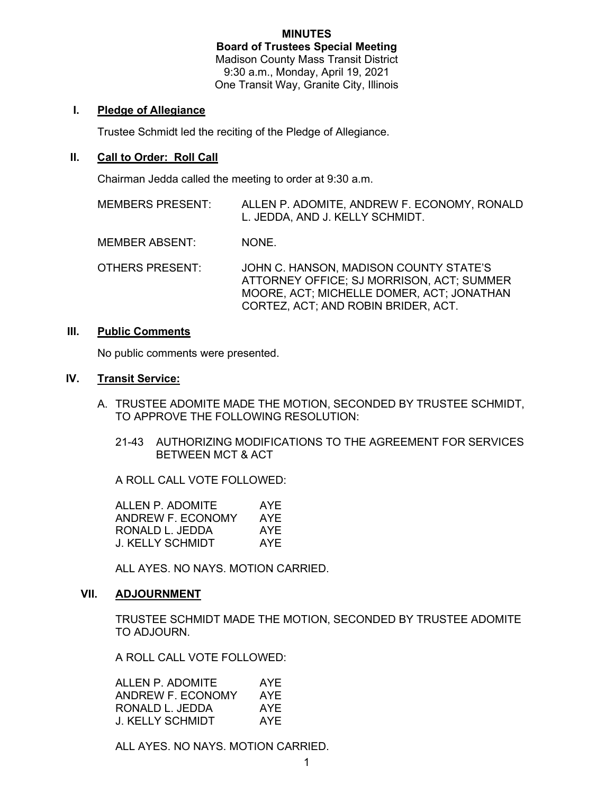# MINUTES Board of Trustees Special Meeting

Madison County Mass Transit District 9:30 a.m., Monday, April 19, 2021 One Transit Way, Granite City, Illinois

# I. Pledge of Allegiance

Trustee Schmidt led the reciting of the Pledge of Allegiance.

## II. Call to Order: Roll Call

Chairman Jedda called the meeting to order at 9:30 a.m.

| <b>MEMBERS PRESENT:</b> | ALLEN P. ADOMITE, ANDREW F. ECONOMY, RONALD<br>L. JEDDA, AND J. KELLY SCHMIDT.                                                                                          |
|-------------------------|-------------------------------------------------------------------------------------------------------------------------------------------------------------------------|
| <b>MEMBER ABSENT:</b>   | NONE.                                                                                                                                                                   |
| <b>OTHERS PRESENT:</b>  | JOHN C. HANSON, MADISON COUNTY STATE'S<br>ATTORNEY OFFICE: SJ MORRISON, ACT: SUMMER<br>MOORE, ACT; MICHELLE DOMER, ACT; JONATHAN<br>CORTEZ, ACT; AND ROBIN BRIDER, ACT. |

## III. Public Comments

No public comments were presented.

### IV. Transit Service:

- A. TRUSTEE ADOMITE MADE THE MOTION, SECONDED BY TRUSTEE SCHMIDT, TO APPROVE THE FOLLOWING RESOLUTION:
	- 21-43 AUTHORIZING MODIFICATIONS TO THE AGREEMENT FOR SERVICES BETWEEN MCT & ACT

A ROLL CALL VOTE FOLLOWED:

ALLEN P. ADOMITE AYE ANDREW F. ECONOMY AYE RONALD L. JEDDA AYE J. KELLY SCHMIDT AYE

ALL AYES. NO NAYS. MOTION CARRIED.

### VII. ADJOURNMENT

TRUSTEE SCHMIDT MADE THE MOTION, SECONDED BY TRUSTEE ADOMITE TO ADJOURN.

A ROLL CALL VOTE FOLLOWED:

| ALLEN P. ADOMITE  | AYE |
|-------------------|-----|
| ANDREW F. ECONOMY | AYE |
| RONALD L. JEDDA   | AYE |
| J. KELLY SCHMIDT  | AYE |

ALL AYES. NO NAYS. MOTION CARRIED.